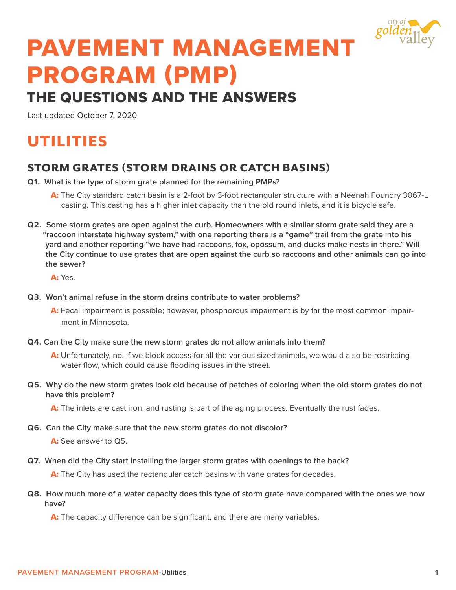

# PAVEMENT MANAGEMENT PROGRAM (PMP)

## THE QUESTIONS AND THE ANSWERS

Last updated October 7, 2020

# UTILITIES

#### STORM GRATES (STORM DRAINS OR CATCH BASINS)

- **Q1. What is the type of storm grate planned for the remaining PMPs?**
	- A: The City standard catch basin is a 2-foot by 3-foot rectangular structure with a Neenah Foundry 3067-L casting. This casting has a higher inlet capacity than the old round inlets, and it is bicycle safe.
- **Q2. Some storm grates are open against the curb. Homeowners with a similar storm grate said they are a "raccoon interstate highway system," with one reporting there is a "game" trail from the grate into his yard and another reporting "we have had raccoons, fox, opossum, and ducks make nests in there." Will the City continue to use grates that are open against the curb so raccoons and other animals can go into the sewer?**

A: Yes.

- **Q3. Won't animal refuse in the storm drains contribute to water problems?**
	- A: Fecal impairment is possible; however, phosphorous impairment is by far the most common impairment in Minnesota.
- **Q4. Can the City make sure the new storm grates do not allow animals into them?** 
	- A: Unfortunately, no. If we block access for all the various sized animals, we would also be restricting water flow, which could cause flooding issues in the street.
- **Q5. Why do the new storm grates look old because of patches of coloring when the old storm grates do not have this problem?**

A: The inlets are cast iron, and rusting is part of the aging process. Eventually the rust fades.

**Q6. Can the City make sure that the new storm grates do not discolor?**

A: See answer to Q5

**Q7. When did the City start installing the larger storm grates with openings to the back?** 

A: The City has used the rectangular catch basins with vane grates for decades.

**Q8. How much more of a water capacity does this type of storm grate have compared with the ones we now have?**

A: The capacity difference can be significant, and there are many variables.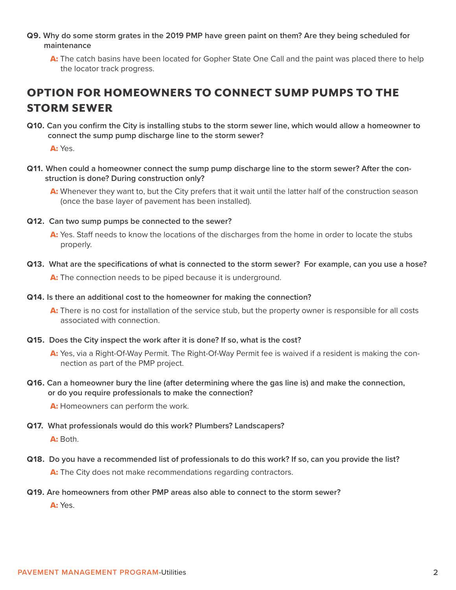- **Q9. Why do some storm grates in the 2019 PMP have green paint on them? Are they being scheduled for maintenance**
	- A: The catch basins have been located for Gopher State One Call and the paint was placed there to help the locator track progress.

## OPTION FOR HOMEOWNERS TO CONNECT SUMP PUMPS TO THE STORM SEWER

**Q10. Can you confirm the City is installing stubs to the storm sewer line, which would allow a homeowner to connect the sump pump discharge line to the storm sewer?**

A: Yes.

**Q11. When could a homeowner connect the sump pump discharge line to the storm sewer? After the construction is done? During construction only?**

A: Whenever they want to, but the City prefers that it wait until the latter half of the construction season (once the base layer of pavement has been installed).

- **Q12. Can two sump pumps be connected to the sewer?**
	- A: Yes. Staff needs to know the locations of the discharges from the home in order to locate the stubs properly.
- **Q13. What are the specifications of what is connected to the storm sewer? For example, can you use a hose?**  A: The connection needs to be piped because it is underground.
- **Q14. Is there an additional cost to the homeowner for making the connection?** 
	- A: There is no cost for installation of the service stub, but the property owner is responsible for all costs associated with connection.
- **Q15. Does the City inspect the work after it is done? If so, what is the cost?**
	- A: Yes, via a Right-Of-Way Permit. The Right-Of-Way Permit fee is waived if a resident is making the connection as part of the PMP project.
- **Q16. Can a homeowner bury the line (after determining where the gas line is) and make the connection, or do you require professionals to make the connection?**

A: Homeowners can perform the work.

**Q17. What professionals would do this work? Plumbers? Landscapers?** 

A: Both.

**Q18. Do you have a recommended list of professionals to do this work? If so, can you provide the list?**

A: The City does not make recommendations regarding contractors.

**Q19. Are homeowners from other PMP areas also able to connect to the storm sewer?**

A: Yes.